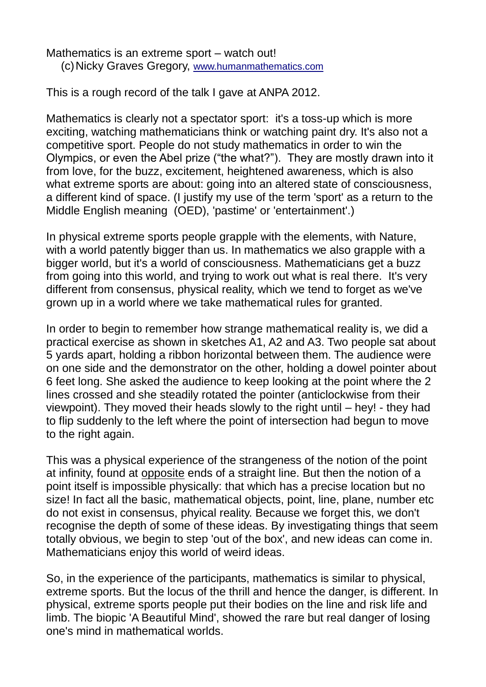Mathematics is an extreme sport – watch out! (c)Nicky Graves Gregory, [www.humanmathematics.com](http://www.humanmathematics.com/)

This is a rough record of the talk I gave at ANPA 2012.

Mathematics is clearly not a spectator sport: it's a toss-up which is more exciting, watching mathematicians think or watching paint dry. It's also not a competitive sport. People do not study mathematics in order to win the Olympics, or even the Abel prize ("the what?"). They are mostly drawn into it from love, for the buzz, excitement, heightened awareness, which is also what extreme sports are about: going into an altered state of consciousness, a different kind of space. (I justify my use of the term 'sport' as a return to the Middle English meaning (OED), 'pastime' or 'entertainment'.)

In physical extreme sports people grapple with the elements, with Nature, with a world patently bigger than us. In mathematics we also grapple with a bigger world, but it's a world of consciousness. Mathematicians get a buzz from going into this world, and trying to work out what is real there. It's very different from consensus, physical reality, which we tend to forget as we've grown up in a world where we take mathematical rules for granted.

In order to begin to remember how strange mathematical reality is, we did a practical exercise as shown in sketches A1, A2 and A3. Two people sat about 5 yards apart, holding a ribbon horizontal between them. The audience were on one side and the demonstrator on the other, holding a dowel pointer about 6 feet long. She asked the audience to keep looking at the point where the 2 lines crossed and she steadily rotated the pointer (anticlockwise from their viewpoint). They moved their heads slowly to the right until – hey! - they had to flip suddenly to the left where the point of intersection had begun to move to the right again.

This was a physical experience of the strangeness of the notion of the point at infinity, found at opposite ends of a straight line. But then the notion of a point itself is impossible physically: that which has a precise location but no size! In fact all the basic, mathematical objects, point, line, plane, number etc do not exist in consensus, phyical reality. Because we forget this, we don't recognise the depth of some of these ideas. By investigating things that seem totally obvious, we begin to step 'out of the box', and new ideas can come in. Mathematicians enjoy this world of weird ideas.

So, in the experience of the participants, mathematics is similar to physical, extreme sports. But the locus of the thrill and hence the danger, is different. In physical, extreme sports people put their bodies on the line and risk life and limb. The biopic 'A Beautiful Mind', showed the rare but real danger of losing one's mind in mathematical worlds.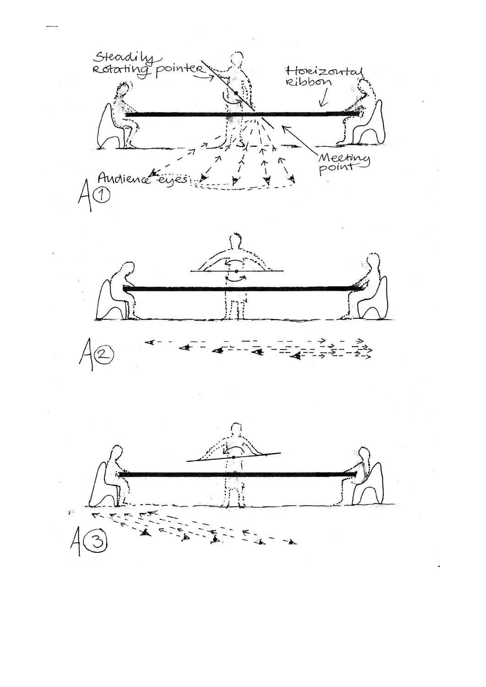



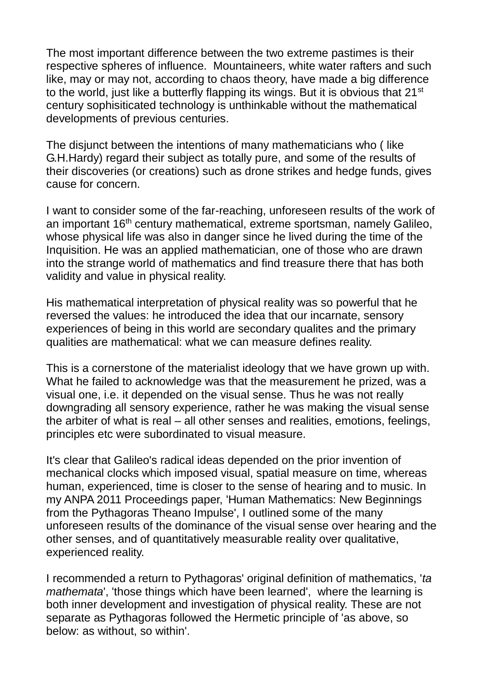The most important difference between the two extreme pastimes is their respective spheres of influence. Mountaineers, white water rafters and such like, may or may not, according to chaos theory, have made a big difference to the world, just like a butterfly flapping its wings. But it is obvious that 21<sup>st</sup> century sophisiticated technology is unthinkable without the mathematical developments of previous centuries.

The disjunct between the intentions of many mathematicians who ( like G.H.Hardy) regard their subject as totally pure, and some of the results of their discoveries (or creations) such as drone strikes and hedge funds, gives cause for concern.

I want to consider some of the far-reaching, unforeseen results of the work of an important 16<sup>th</sup> century mathematical, extreme sportsman, namely Galileo, whose physical life was also in danger since he lived during the time of the Inquisition. He was an applied mathematician, one of those who are drawn into the strange world of mathematics and find treasure there that has both validity and value in physical reality.

His mathematical interpretation of physical reality was so powerful that he reversed the values: he introduced the idea that our incarnate, sensory experiences of being in this world are secondary qualites and the primary qualities are mathematical: what we can measure defines reality.

This is a cornerstone of the materialist ideology that we have grown up with. What he failed to acknowledge was that the measurement he prized, was a visual one, i.e. it depended on the visual sense. Thus he was not really downgrading all sensory experience, rather he was making the visual sense the arbiter of what is real – all other senses and realities, emotions, feelings, principles etc were subordinated to visual measure.

It's clear that Galileo's radical ideas depended on the prior invention of mechanical clocks which imposed visual, spatial measure on time, whereas human, experienced, time is closer to the sense of hearing and to music. In my ANPA 2011 Proceedings paper, 'Human Mathematics: New Beginnings from the Pythagoras Theano Impulse', I outlined some of the many unforeseen results of the dominance of the visual sense over hearing and the other senses, and of quantitatively measurable reality over qualitative, experienced reality.

I recommended a return to Pythagoras' original definition of mathematics, '*ta mathemata*', 'those things which have been learned', where the learning is both inner development and investigation of physical reality. These are not separate as Pythagoras followed the Hermetic principle of 'as above, so below: as without, so within'.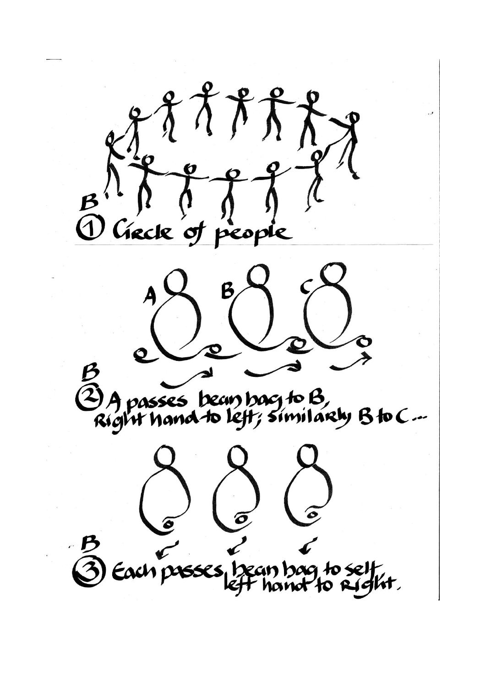